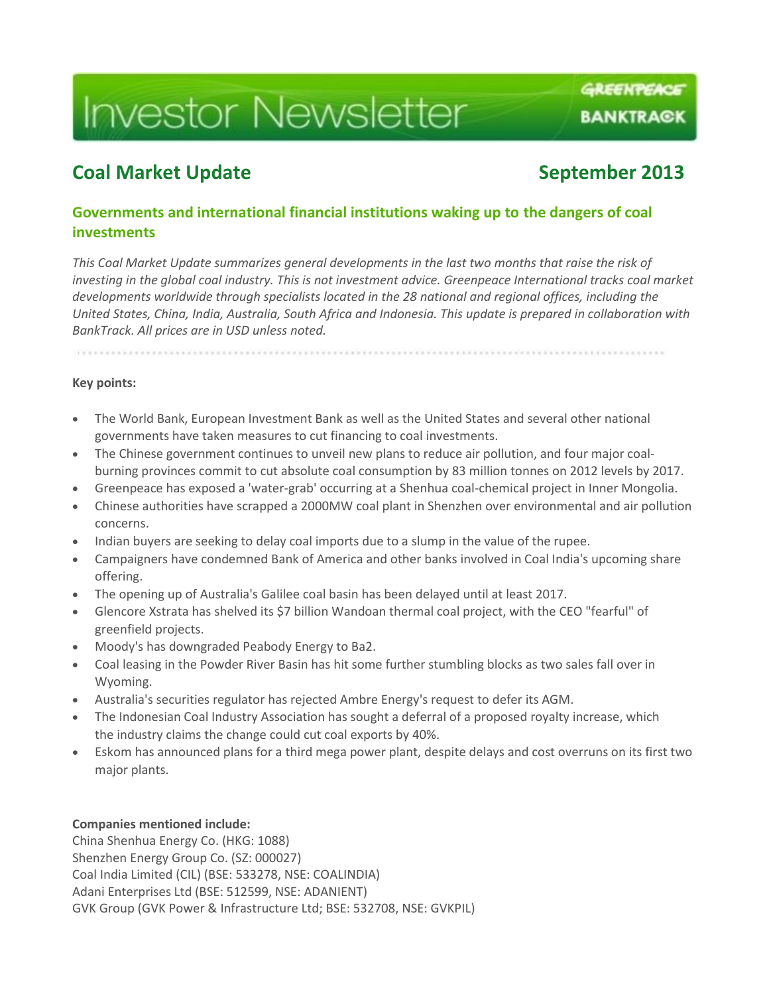# **Investor Newsletter**

## **Coal Market Update Coal Market Update** September 2013

GREENPEACE

**BANKTRACK** 

## **Governments and international financial institutions waking up to the dangers of coal investments**

*This Coal Market Update summarizes general developments in the last two months that raise the risk of investing in the global coal industry. This is not investment advice. Greenpeace International tracks coal market developments worldwide through specialists located in the 28 national and regional offices, including the United States, China, India, Australia, South Africa and Indonesia. This update is prepared in collaboration with BankTrack. All prices are in USD unless noted.*

# **Key points:**

- The World Bank, European Investment Bank as well as the United States and several other national governments have taken measures to cut financing to coal investments.
- The Chinese government continues to unveil new plans to reduce air pollution, and four major coalburning provinces commit to cut absolute coal consumption by 83 million tonnes on 2012 levels by 2017.
- Greenpeace has exposed a 'water-grab' occurring at a Shenhua coal-chemical project in Inner Mongolia.
- Chinese authorities have scrapped a 2000MW coal plant in Shenzhen over environmental and air pollution concerns.
- Indian buyers are seeking to delay coal imports due to a slump in the value of the rupee.
- Campaigners have condemned Bank of America and other banks involved in Coal India's upcoming share offering.
- The opening up of Australia's Galilee coal basin has been delayed until at least 2017.
- Glencore Xstrata has shelved its \$7 billion Wandoan thermal coal project, with the CEO "fearful" of greenfield projects.
- Moody's has downgraded Peabody Energy to Ba2.
- Coal leasing in the Powder River Basin has hit some further stumbling blocks as two sales fall over in Wyoming.
- Australia's securities regulator has rejected Ambre Energy's request to defer its AGM.
- The Indonesian Coal Industry Association has sought a deferral of a proposed royalty increase, which the industry claims the change could cut coal exports by 40%.
- Eskom has announced plans for a third mega power plant, despite delays and cost overruns on its first two major plants.

#### **Companies mentioned include:**

China Shenhua Energy Co. (HKG: 1088) Shenzhen Energy Group Co. (SZ: 000027) Coal India Limited (CIL) (BSE: 533278, NSE: COALINDIA) Adani Enterprises Ltd (BSE: 512599, NSE: ADANIENT) GVK Group (GVK Power & Infrastructure Ltd; BSE: 532708, NSE: GVKPIL)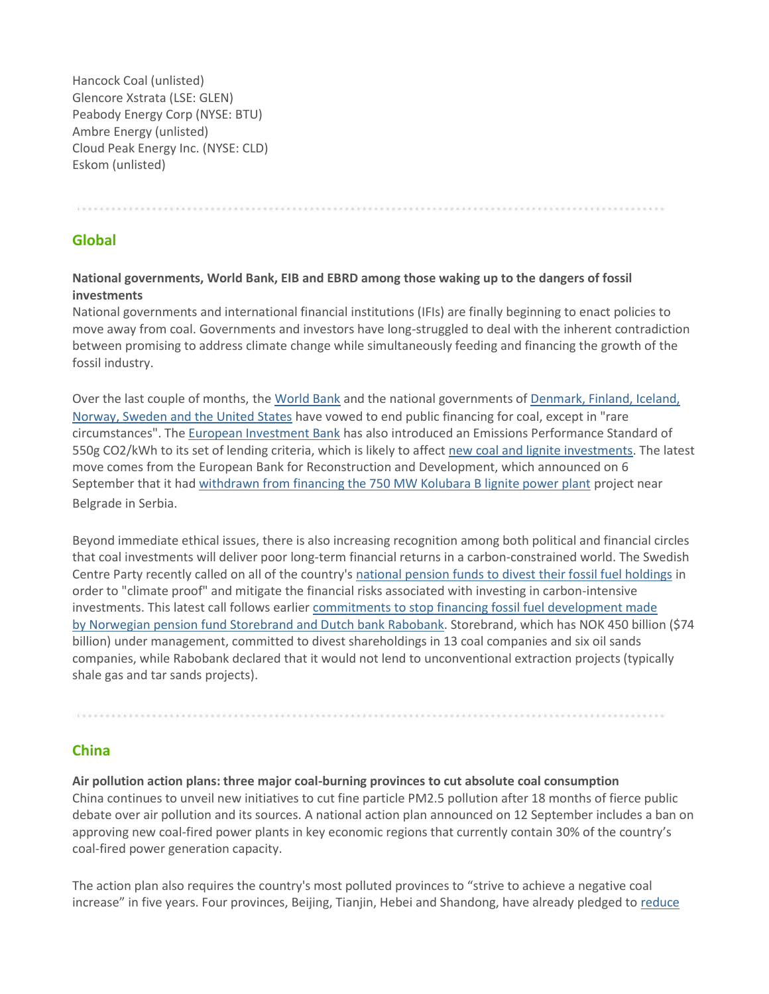Hancock Coal (unlisted) Glencore Xstrata (LSE: GLEN) Peabody Energy Corp (NYSE: BTU) Ambre Energy (unlisted) Cloud Peak Energy Inc. (NYSE: CLD) Eskom (unlisted)

#### **Global**

#### **National governments, World Bank, EIB and EBRD among those waking up to the dangers of fossil investments**

National governments and international financial institutions (IFIs) are finally beginning to enact policies to move away from coal. Governments and investors have long-struggled to deal with the inherent contradiction between promising to address climate change while simultaneously feeding and financing the growth of the fossil industry.

Over the last couple of months, the [World Bank](http://www.reuters.com/article/2013/07/16/us-worldbank-climate-coal-idUSBRE96F19U20130716) and the national governments of Denmark, Finland, Iceland, [Norway, Sweden and the United States](http://www.whitehouse.gov/the-press-office/2013/09/04/joint-statement-kingdom-denmark-republic-finland-republic-iceland-kingdo) have vowed to end public financing for coal, except in "rare circumstances". The [European Investment Bank](http://www.eib.org/about/press/2013/2013-115-european-investment-bank-to-reinforce-support-for-renewable-and-energy-efficiency-investment-across-europe.htm) has also introduced an Emissions Performance Standard of 550g CO2/kWh to its set of lending criteria, which is likely to affect [new coal and lignite investments.](http://www.rtcc.org/2013/07/24/eu-development-bank-cuts-finance-for-coal-power-plants/) The latest move comes from the European Bank for Reconstruction and Development, which announced on 6 September that it had [withdrawn from financing the 750 MW Kolubara B lignite power plant](http://bankwatch.org/news-media/for-journalists/press-releases/ebrd-gives-kolubara-b-lignite-power-plant-project-serbia) project near Belgrade in Serbia.

Beyond immediate ethical issues, there is also increasing recognition among both political and financial circles that coal investments will deliver poor long-term financial returns in a carbon-constrained world. The Swedish Centre Party recently called on all of the country's [national pension funds to divest their fossil fuel holdings](http://www.ft.com/cms/s/0/bdfbf812-16e0-11e3-9ec2-00144feabdc0.html#axzz2ePHNFmi6) in order to "climate proof" and mitigate the financial risks associated with investing in carbon-intensive investments. This latest call follows earlier [commitments to stop financing fossil fuel development made](http://www.euractiv.com/energy/rabobank-storebrand-boost-fossil-news-529155)  [by](http://www.euractiv.com/energy/rabobank-storebrand-boost-fossil-news-529155) [Norwegian pension fund](http://www.euractiv.com/energy/rabobank-storebrand-boost-fossil-news-529155) Storebrand [and Dutch bank Rabobank.](http://www.euractiv.com/energy/rabobank-storebrand-boost-fossil-news-529155) Storebrand, which has NOK 450 billion (\$74 billion) under management, committed to divest shareholdings in 13 coal companies and six oil sands companies, while Rabobank declared that it would not lend to unconventional extraction projects (typically shale gas and tar sands projects).

#### **China**

#### **Air pollution action plans: three major coal-burning provinces to cut absolute coal consumption**

China continues to unveil new initiatives to cut fine particle PM2.5 pollution after 18 months of fierce public debate over air pollution and its sources. A national action plan announced on 12 September includes a ban on approving new coal-fired power plants in key economic regions that currently contain 30% of the country's coal-fired power generation capacity.

The action plan also requires the country's most polluted provinces to "strive to achieve a negative coal increase" in five years. Four provinces, Beijing, Tianjin, Hebei and Shandong, have already pledged to [reduce](http://www.mep.gov.cn/gkml/hbb/bwj/201309/W020130918412886411956.pdf)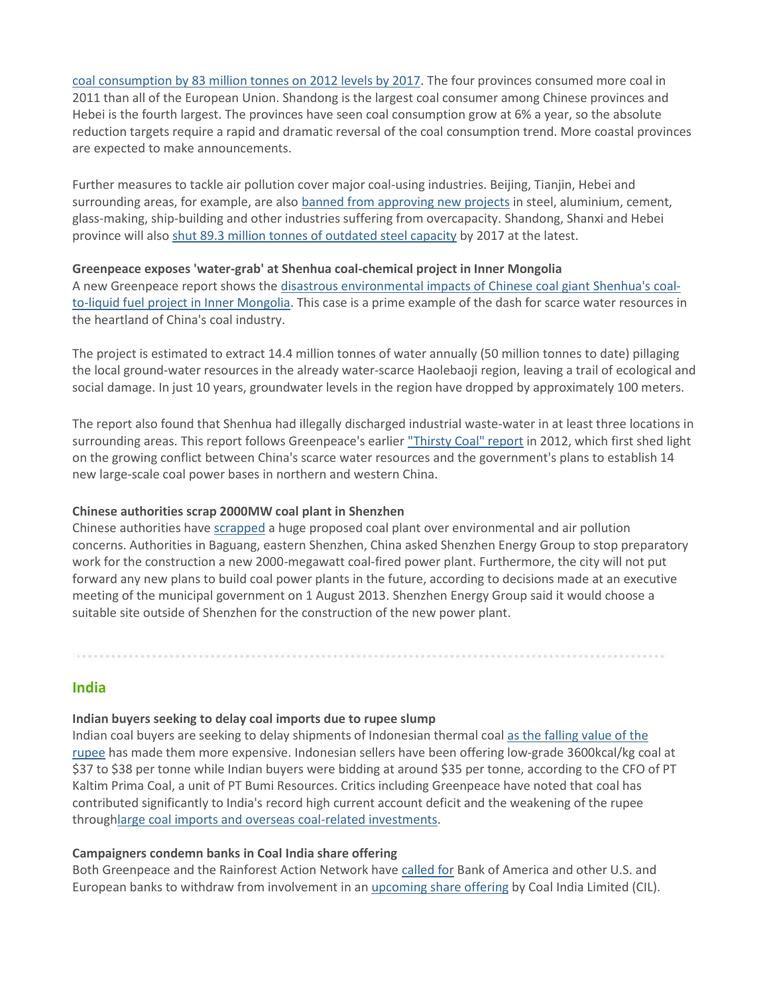[coal consumption by 83 million tonnes on 2012 levels by 2017.](http://www.mep.gov.cn/gkml/hbb/bwj/201309/W020130918412886411956.pdf) The four provinces consumed more coal in 2011 than all of the European Union. Shandong is the largest coal consumer among Chinese provinces and Hebei is the fourth largest. The provinces have seen coal consumption grow at 6% a year, so the absolute reduction targets require a rapid and dramatic reversal of the coal consumption trend. More coastal provinces are expected to make announcements.

Further measures to tackle air pollution cover major coal-using industries. Beijing, Tianjin, Hebei and surrounding areas, for example, are also [banned from approving](http://www.mep.gov.cn/gkml/hbb/bwj/201309/W020130918412886411956.pdf) [new projects](http://www.mep.gov.cn/gkml/hbb/bwj/201309/W020130918412886411956.pdf) in steel, aluminium, cement, glass-making, ship-building and other industries suffering from overcapacity. Shandong, Shanxi and Hebei province will also [shut 89.3 million tonnes of outdated steel capacity](http://uk.reuters.com/article/2013/09/18/china-environment-idUKL3N0HE0VN20130918) by 2017 at the latest.

#### **Greenpeace exposes 'water-grab' at Shenhua coal-chemical project in Inner Mongolia**

A new Greenpeace report shows the [disastrous environmental impacts of](http://www.greenpeace.org/eastasia/publications/reports/climate-energy/2013/thirsty-coal-two-china/) [Chinese coal giant Shenhua's](http://www.greenpeace.org/eastasia/publications/reports/climate-energy/2013/thirsty-coal-two-china/) [coal](http://www.greenpeace.org/eastasia/publications/reports/climate-energy/2013/thirsty-coal-two-china/)[to-liquid fuel project in Inner Mongolia.](http://www.greenpeace.org/eastasia/publications/reports/climate-energy/2013/thirsty-coal-two-china/) This case is a prime example of the dash for scarce water resources in the heartland of China's coal industry.

The project is estimated to extract 14.4 million tonnes of water annually (50 million tonnes to date) pillaging the local ground-water resources in the already water-scarce Haolebaoji region, leaving a trail of ecological and social damage. In just 10 years, groundwater levels in the region have dropped by approximately 100 meters.

The report also found that Shenhua had illegally discharged industrial waste-water in at least three locations in surrounding areas. This report follows Greenpeace's earlier ["Thirsty Coal" report](http://www.greenpeace.org/eastasia/publications/reports/climate-energy/2012/thirsty-coal-water-crisis/) in 2012, which first shed light on the growing conflict between China's scarce water resources and the government's plans to establish 14 new large-scale coal power bases in northern and western China.

#### **Chinese authorities scrap 2000MW coal plant in Shenzhen**

Chinese authorities have [scrapped](http://www.elp.com/articles/2013/8/china-cancels-planned-coal-fired-plant.html) a huge proposed coal plant over environmental and air pollution concerns. Authorities in Baguang, eastern Shenzhen, China asked Shenzhen Energy Group to stop preparatory work for the construction a new 2000-megawatt coal-fired power plant. Furthermore, the city will not put forward any new plans to build coal power plants in the future, according to decisions made at an executive meeting of the municipal government on 1 August 2013. Shenzhen Energy Group said it would choose a suitable site outside of Shenzhen for the construction of the new power plant.

#### **India**

#### **Indian buyers seeking to delay coal imports due to rupee slump**

Indian coal buyers are seeking to delay shipments of Indonesian thermal coal [as the falling value of the](http://www.bloomberg.com/news/2013-09-04/indian-coal-buyers-seek-deferrals-as-rupee-slump-raises-costs.html)  [rupee](http://www.bloomberg.com/news/2013-09-04/indian-coal-buyers-seek-deferrals-as-rupee-slump-raises-costs.html) has made them more expensive. Indonesian sellers have been offering low-grade 3600kcal/kg coal at \$37 to \$38 per tonne while Indian buyers were bidding at around \$35 per tonne, according to the CFO of PT Kaltim Prima Coal, a unit of PT Bumi Resources. Critics including Greenpeace have noted that coal has contributed significantly to India's record high current account deficit and the weakening of the rupee throug[hlarge coal imports and overseas coal-related investments.](http://governancenow.com/views/columns/plunging-rupee-and-coal-dependence)

#### **Campaigners condemn banks in Coal India share offering**

Both Greenpeace and the Rainforest Action Network have [called for](http://understory.ran.org/2013/09/04/ignoring-human-rights-abuses-and-coals-uncertain-future-big-banks-line-up-for-piece-of-worlds-largest-coal-miner/) Bank of America and other U.S. and European banks to withdraw from involvement in an [upcoming share offering](http://www.reuters.com/article/2013/08/29/coalindia-divestment-idUSI8N0CZ00I20130829) by Coal India Limited (CIL).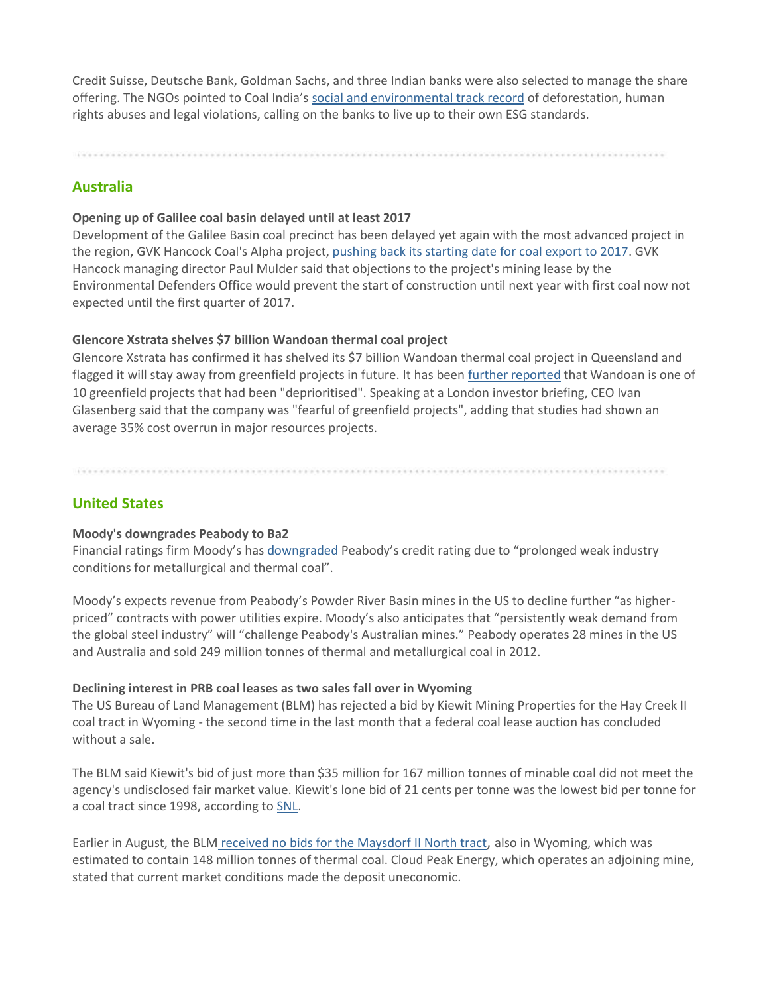Credit Suisse, Deutsche Bank, Goldman Sachs, and three Indian banks were also selected to manage the share offering. The NGOs pointed to Coal India's [social and environmental track record](http://www.greenpeace.org/india/en/publications/Coal-India-investor-brief-/) of deforestation, human rights abuses and legal violations, calling on the banks to live up to their own ESG standards.

### **Australia**

#### **Opening up of Galilee coal basin delayed until at least 2017**

Development of the Galilee Basin coal precinct has been delayed yet again with the most advanced project in the region, GVK Hancock Coal's Alpha project, [pushing back its starting date for coal export to 2017.](http://www.theaustralian.com.au/business/mining-energy/galilee-exports-delayed-until-2017/story-e6frg9df-1226706997266) GVK Hancock managing director Paul Mulder said that objections to the project's mining lease by the Environmental Defenders Office would prevent the start of construction until next year with first coal now not expected until the first quarter of 2017.

#### **Glencore Xstrata shelves \$7 billion Wandoan thermal coal project**

Glencore Xstrata has confirmed it has shelved its \$7 billion Wandoan thermal coal project in Queensland and flagged it will stay away from greenfield projects in future. It has been [further reported](http://www.theaustralian.com.au/business/companies/glencore-puts-wandoan-on-ice/story-fn91v9q3-1226716413520) that Wandoan is one of 10 greenfield projects that had been "deprioritised". Speaking at a London investor briefing, CEO Ivan Glasenberg said that the company was "fearful of greenfield projects", adding that studies had shown an average 35% cost overrun in major resources projects.

### **United States**

#### **Moody's downgrades Peabody to Ba2**

Financial ratings firm Moody's has [downgraded](https://www.moodys.com/research/Moodys-downgrades-Peabody-to-Ba2-outlook-stable--PR_280688) Peabody's credit rating due to "prolonged weak industry conditions for metallurgical and thermal coal".

Moody's expects revenue from Peabody's Powder River Basin mines in the US to decline further "as higherpriced" contracts with power utilities expire. Moody's also anticipates that "persistently weak demand from the global steel industry" will "challenge Peabody's Australian mines." Peabody operates 28 mines in the US and Australia and sold 249 million tonnes of thermal and metallurgical coal in 2012.

#### **Declining interest in PRB coal leases as two sales fall over in Wyoming**

The US Bureau of Land Management (BLM) has rejected a bid by Kiewit Mining Properties for the Hay Creek II coal tract in Wyoming - the second time in the last month that a federal coal lease auction has concluded without a sale.

The BLM said Kiewit's bid of just more than \$35 million for 167 million tonnes of minable coal did not meet the agency's undisclosed fair market value. Kiewit's lone bid of 21 cents per tonne was the lowest bid per tonne for a coal tract since 1998, according to [SNL.](http://www.snl.com/InteractiveX/Article.aspx?cdid=A-25118672-11570)

Earlier in August, the BLM [received no bids for the](http://trib.com/news/state-and-regional/a-wyoming-first-no-bids-for-coal-mining-tract-in/article_97973023-564c-585e-81ee-a7283bbe5ffa.html) [Maysdorf II North tract](http://trib.com/news/state-and-regional/a-wyoming-first-no-bids-for-coal-mining-tract-in/article_97973023-564c-585e-81ee-a7283bbe5ffa.html), also in Wyoming, which was estimated to contain 148 million tonnes of thermal coal. Cloud Peak Energy, which operates an adjoining mine, stated that current market conditions made the deposit uneconomic.